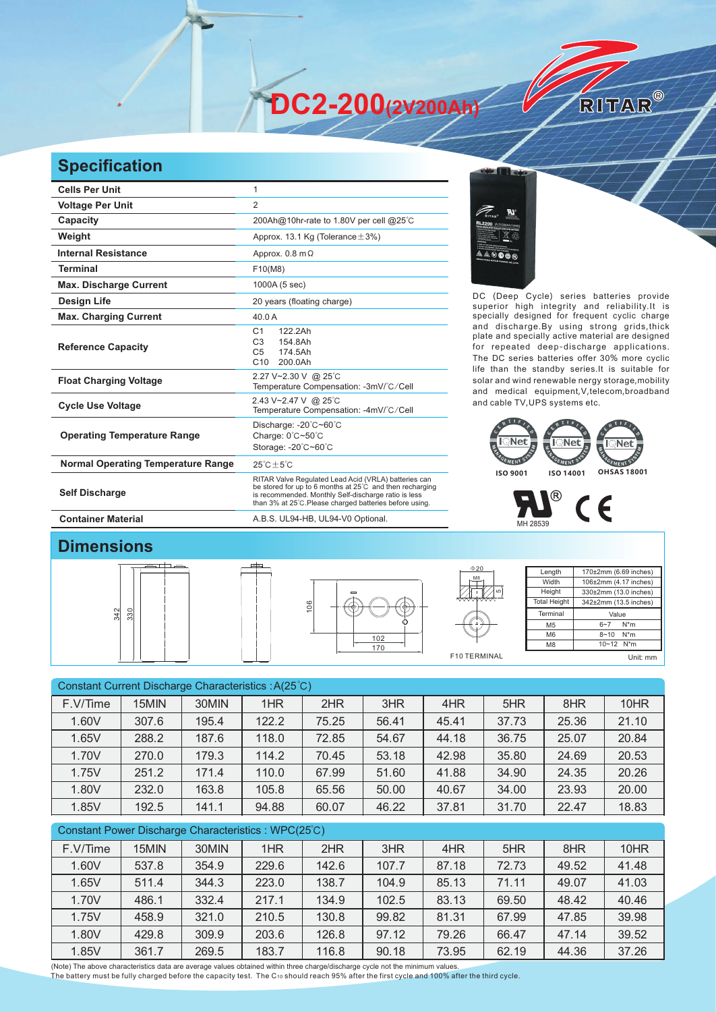**DC2-200(2V200Ah)** 

## **Specification**

| <b>Cells Per Unit</b>                     | 1                                                                                                                                                                                                                                   |
|-------------------------------------------|-------------------------------------------------------------------------------------------------------------------------------------------------------------------------------------------------------------------------------------|
| <b>Voltage Per Unit</b>                   | $\overline{2}$                                                                                                                                                                                                                      |
| Capacity                                  | 200Ah@10hr-rate to 1.80V per cell @25°C                                                                                                                                                                                             |
| Weight                                    | Approx. 13.1 Kg (Tolerance $\pm$ 3%)                                                                                                                                                                                                |
| <b>Internal Resistance</b>                | Approx. $0.8 \text{ m}\Omega$                                                                                                                                                                                                       |
| <b>Terminal</b>                           | F10(M8)                                                                                                                                                                                                                             |
| <b>Max. Discharge Current</b>             | 1000A (5 sec)                                                                                                                                                                                                                       |
| <b>Design Life</b>                        | 20 years (floating charge)                                                                                                                                                                                                          |
| <b>Max. Charging Current</b>              | 40.0A                                                                                                                                                                                                                               |
| <b>Reference Capacity</b>                 | 122.2Ah<br>C <sub>1</sub><br>C <sub>3</sub><br>154.8Ah<br>C <sub>5</sub><br>174.5Ah<br>C10<br>200.0Ah                                                                                                                               |
| <b>Float Charging Voltage</b>             | 2.27 V~2.30 V @ 25°C<br>Temperature Compensation: -3mV/°C/Cell                                                                                                                                                                      |
| <b>Cycle Use Voltage</b>                  | 2.43 V~2.47 V @ 25°C<br>Temperature Compensation: -4mV/°C/Cell                                                                                                                                                                      |
| <b>Operating Temperature Range</b>        | Discharge: -20°C~60°C<br>Charge: 0°C~50°C<br>Storage: -20°C~60°C                                                                                                                                                                    |
| <b>Normal Operating Temperature Range</b> | $25^{\circ}$ C + 5 $^{\circ}$ C                                                                                                                                                                                                     |
| <b>Self Discharge</b>                     | RITAR Valve Regulated Lead Acid (VRLA) batteries can<br>be stored for up to 6 months at 25°C and then recharging<br>is recommended. Monthly Self-discharge ratio is less<br>than 3% at 25°C. Please charged batteries before using. |
| <b>Container Material</b>                 | A.B.S. UL94-HB, UL94-V0 Optional.                                                                                                                                                                                                   |



DC (Deep Cycle) series batteries provide superior high integrity and reliability.It is specially designed for frequent cyclic charge and discharge.By using strong grids,thick plate and specially active material are designed for repeated deep-discharge applications. The DC series batteries offer 30% more cyclic life than the standby series.It is suitable for solar and wind renewable nergy storage,mobility and medical equipment,V,telecom,broadband and cable TV,UPS systems etc.

RITAR®





## **Dimensions**







| Length              | 170±2mm (6.69 inches) |  |  |  |  |
|---------------------|-----------------------|--|--|--|--|
| Width               | 106±2mm (4.17 inches) |  |  |  |  |
| Height              | 330±2mm (13.0 inches) |  |  |  |  |
| <b>Total Height</b> | 342±2mm (13.5 inches) |  |  |  |  |
| Terminal            | Value                 |  |  |  |  |
| M <sub>5</sub>      | $N^*m$<br>$6 - 7$     |  |  |  |  |
| M <sub>6</sub>      | $N^*m$<br>$8 - 10$    |  |  |  |  |
| M <sub>8</sub>      | 10~12 N*m             |  |  |  |  |
|                     | Unit: mm              |  |  |  |  |

| Constant Current Discharge Characteristics : A(25°C) |       |       |       |       |       |       |       |       |       |
|------------------------------------------------------|-------|-------|-------|-------|-------|-------|-------|-------|-------|
| F.V/Time                                             | 15MIN | 30MIN | 1HR   | 2HR   | 3HR   | 4HR   | 5HR   | 8HR   | 10HR  |
| 1.60V                                                | 307.6 | 195.4 | 122.2 | 75.25 | 56.41 | 45.41 | 37.73 | 25.36 | 21.10 |
| 1.65V                                                | 288.2 | 187.6 | 118.0 | 72.85 | 54.67 | 44.18 | 36.75 | 25.07 | 20.84 |
| 1.70V                                                | 270.0 | 179.3 | 114.2 | 70.45 | 53.18 | 42.98 | 35.80 | 24.69 | 20.53 |
| 1.75V                                                | 251.2 | 171.4 | 110.0 | 67.99 | 51.60 | 41.88 | 34.90 | 24.35 | 20.26 |
| 1.80V                                                | 232.0 | 163.8 | 105.8 | 65.56 | 50.00 | 40.67 | 34.00 | 23.93 | 20.00 |
| 1.85V                                                | 192.5 | 141.1 | 94.88 | 60.07 | 46.22 | 37.81 | 31.70 | 22.47 | 18.83 |

## Constant Power Discharge Characteristics : WPC(25℃)

| F.V/Time | 15MIN | 30MIN | 1HR   | 2HR   | 3HR   | 4HR   | 5HR   | 8HR   | 10HR  |
|----------|-------|-------|-------|-------|-------|-------|-------|-------|-------|
| 1.60V    | 537.8 | 354.9 | 229.6 | 142.6 | 107.7 | 87.18 | 72.73 | 49.52 | 41.48 |
| 1.65V    | 511.4 | 344.3 | 223.0 | 138.7 | 104.9 | 85.13 | 71.11 | 49.07 | 41.03 |
| 1.70V    | 486.1 | 332.4 | 217.1 | 134.9 | 102.5 | 83.13 | 69.50 | 48.42 | 40.46 |
| 1.75V    | 458.9 | 321.0 | 210.5 | 130.8 | 99.82 | 81.31 | 67.99 | 47.85 | 39.98 |
| 1.80V    | 429.8 | 309.9 | 203.6 | 126.8 | 97.12 | 79.26 | 66.47 | 47.14 | 39.52 |
| 1.85V    | 361.7 | 269.5 | 183.7 | 116.8 | 90.18 | 73.95 | 62.19 | 44.36 | 37.26 |

(Note) The above characteristics data are average values obtained within three charge/discharge cycle not the minimum values.<br>The battery must be fully charged before the capacity test. The C10 should reach 95% after the